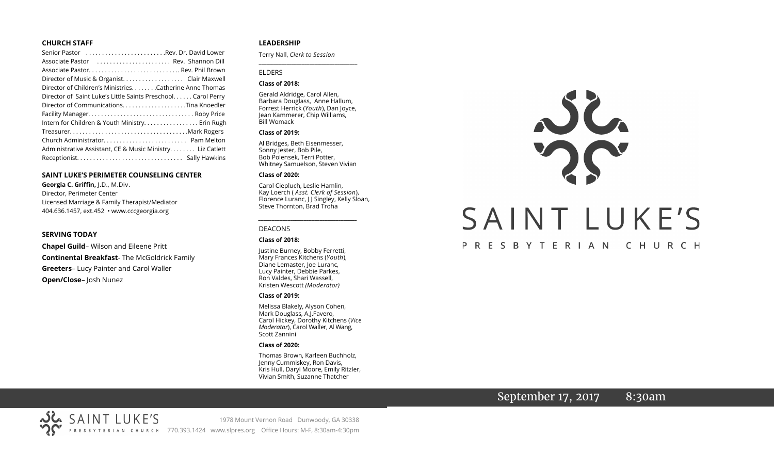#### **CHURCH STAFF**

| Senior Pastor Rev. Dr. David Lower                           |
|--------------------------------------------------------------|
| Associate Pastor  Rev. Shannon Dill                          |
|                                                              |
| Director of Music & Organist. Clair Maxwell                  |
| Director of Children's Ministries. Catherine Anne Thomas     |
| Director of Saint Luke's Little Saints Preschool Carol Perry |
|                                                              |
|                                                              |
| Intern for Children & Youth Ministry Erin Rugh               |
|                                                              |
|                                                              |
| Administrative Assistant, CE & Music Ministry. Liz Catlett   |
|                                                              |

#### **SAINT LUKE'S PERIMETER COUNSELING CENTER**

**Georgia C. Griffin,** J.D., M.Div. Director, Perimeter Center Licensed Marriage & Family Therapist/Mediator 404.636.1457, ext.452 • www.cccgeorgia.org

#### **SERVING TODAY**

**Chapel Guild**– Wilson and Eileene Pritt **Continental Breakfast**- The McGoldrick Family **Greeters**– Lucy Painter and Carol Waller **Open/Close**– Josh Nunez

#### **LEADERSHIP**

Terry Nall, *Clerk to Session* 

#### ELDERS

#### **Class of 2018:**

Gerald Aldridge, Carol Allen, Barbara Douglass, Anne Hallum, Forrest Herrick (*Youth*), Dan Joyce, Jean Kammerer, Chip Williams, Bill Womack

**\_\_\_\_\_\_\_\_\_\_\_\_\_\_\_\_\_\_\_\_\_\_\_\_\_\_\_\_\_\_\_\_\_\_\_\_\_\_\_**

#### **Class of 2019:**

Al Bridges, Beth Eisenmesser, Sonny Jester, Bob Pile, Bob Polensek, Terri Potter, Whitney Samuelson, Steven Vivian

#### **Class of 2020:**

Carol Ciepluch, Leslie Hamlin, Kay Loerch ( *Asst. Clerk of Session*), Florence Luranc, J J Singley, Kelly Sloan, Steve Thornton, Brad Troha

*\_\_\_\_\_\_\_\_\_\_\_\_\_\_\_\_\_\_\_\_\_\_\_\_\_\_\_\_\_\_\_\_\_\_\_\_\_*

#### DEACONS

#### **Class of 2018:**

Justine Burney, Bobby Ferretti, Mary Frances Kitchens (*Youth*), Diane Lemaster, Joe Luranc, Lucy Painter, Debbie Parkes, Ron Valdes, Shari Wassell, Kristen Wescott *(Moderator)*

#### **Class of 2019:**

Melissa Blakely, Alyson Cohen, Mark Douglass, A.J.Favero, Carol Hickey, Dorothy Kitchens (*Vice Moderator*), Carol Waller, Al Wang, Scott Zannini

#### **Class of 2020:**

Thomas Brown, Karleen Buchholz, Jenny Cummiskey, Ron Davis, Kris Hull, Daryl Moore, Emily Ritzler, Vivian Smith, Suzanne Thatcher



# September 17, 2017 8:30am

SAINT LUKE'S 1978 Mount Vernon Road Dunwoody, GA 30338 PRESBYTERIAN CHURCH 770.393.1424 www.slpres.org Office Hours: M-F, 8:30am-4:30pm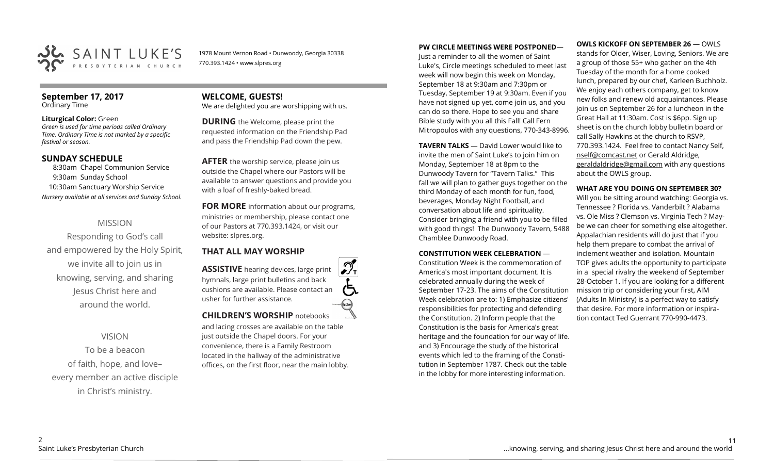

1978 Mount Vernon Road • Dunwoody, Georgia 30338 770.393.1424 • www.slpres.org

#### **September 17, 2017**  Ordinary Time

#### **Liturgical Color:** Green

*Green is used for time periods called Ordinary Time. Ordinary Time is not marked by a specific festival or season.* 

### **SUNDAY SCHEDULE**

8:30am Chapel Communion Service 9:30am Sunday School 10:30am Sanctuary Worship Service *Nursery available at all services and Sunday School.*

# MISSION

Responding to God's call and empowered by the Holy Spirit, we invite all to join us in knowing, serving, and sharing Jesus Christ here and around the world.

# VISION

To be a beacon of faith, hope, and love– every member an active disciple in Christ's ministry.

# **WELCOME, GUESTS!**  We are delighted you are worshipping with us.

**DURING** the Welcome, please print the requested information on the Friendship Pad and pass the Friendship Pad down the pew.

**AFTER** the worship service, please join us outside the Chapel where our Pastors will be available to answer questions and provide you with a loaf of freshly-baked bread.

**FOR MORE** information about our programs, ministries or membership, please contact one of our Pastors at 770.393.1424, or visit our website: slpres.org.

### **THAT ALL MAY WORSHIP**

**ASSISTIVE** hearing devices, large print hymnals, large print bulletins and back cushions are available. Please contact an usher for further assistance. thistext **CHILDREN'S WORSHIP** notebooks

and lacing crosses are available on the table just outside the Chapel doors. For your convenience, there is a Family Restroom located in the hallway of the administrative offices, on the first floor, near the main lobby.

#### **PW CIRCLE MEETINGS WERE POSTPONED**—

Just a reminder to all the women of Saint Luke's, Circle meetings scheduled to meet last week will now begin this week on Monday, September 18 at 9:30am and 7:30pm or Tuesday, September 19 at 9:30am. Even if you have not signed up yet, come join us, and you can do so there. Hope to see you and share Bible study with you all this Fall! Call Fern Mitropoulos with any questions, 770-343-8996.

**TAVERN TALKS** — David Lower would like to invite the men of Saint Luke's to join him on Monday, September 18 at 8pm to the Dunwoody Tavern for "Tavern Talks." This fall we will plan to gather guys together on the third Monday of each month for fun, food, beverages, Monday Night Football, and conversation about life and spirituality. Consider bringing a friend with you to be filled with good things! The Dunwoody Tavern, 5488 Chamblee Dunwoody Road.

#### **CONSTITUTION WEEK CELEBRATION** —

Constitution Week is the commemoration of America's most important document. It is celebrated annually during the week of September 17-23. The aims of the Constitution Week celebration are to: 1) Emphasize citizens' responsibilities for protecting and defending the Constitution. 2) Inform people that the Constitution is the basis for America's great heritage and the foundation for our way of life. and 3) Encourage the study of the historical events which led to the framing of the Constitution in September 1787. Check out the table in the lobby for more interesting information.

**OWLS KICKOFF ON SEPTEMBER 26 — OWLS** 

stands for Older, Wiser, Loving, Seniors. We are a group of those 55+ who gather on the 4th Tuesday of the month for a home cooked lunch, prepared by our chef, Karleen Buchholz. We enjoy each others company, get to know new folks and renew old acquaintances. Please join us on September 26 for a luncheon in the Great Hall at 11:30am. Cost is \$6pp. Sign up sheet is on the church lobby bulletin board or call Sally Hawkins at the church to RSVP, 770.393.1424. Feel free to contact Nancy Self, [nself@comcast.net](mailto:nself@comcast.net) or Gerald Aldridge, [geraldaldridge@gmail.com](mailto:geraldaldridge@gmail.com) with any questions about the OWLS group.

### **WHAT ARE YOU DOING ON SEPTEMBER 30?**

Will you be sitting around watching: Georgia vs. Tennessee ? Florida vs. Vanderbilt ? Alabama vs. Ole Miss ? Clemson vs. Virginia Tech ? Maybe we can cheer for something else altogether. Appalachian residents will do just that if you help them prepare to combat the arrival of inclement weather and isolation. Mountain TOP gives adults the opportunity to participate in a special rivalry the weekend of September 28-October 1. If you are looking for a different mission trip or considering your first, AIM (Adults In Ministry) is a perfect way to satisfy that desire. For more information or inspiration contact Ted Guerrant 770-990-4473.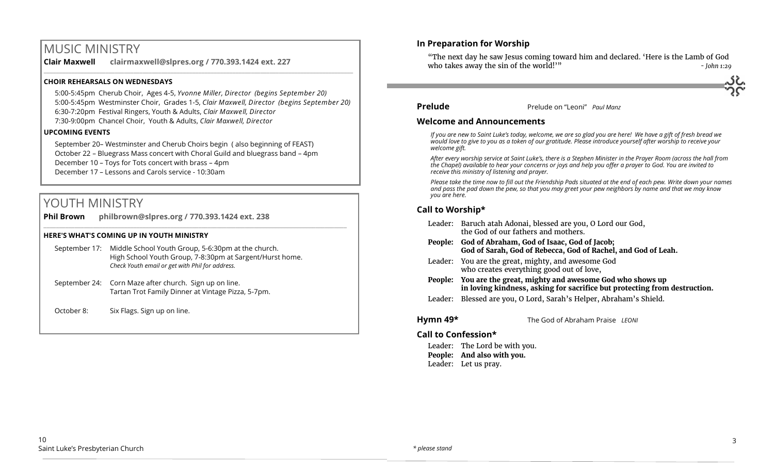# MUSIC MINISTRY

**Clair Maxwell clairmaxwell@slpres.org / 770.393.1424 ext. 227**  \_\_\_\_\_\_\_\_\_\_\_\_\_\_\_\_\_\_\_\_\_\_\_\_\_\_\_\_\_\_\_\_\_\_\_\_\_\_\_\_\_\_\_\_\_\_\_\_\_\_\_\_\_\_\_\_\_\_\_\_\_\_\_\_\_\_\_\_\_\_\_\_\_\_\_\_\_\_\_\_\_\_\_\_\_\_\_\_\_\_\_\_\_\_\_\_\_\_\_\_

#### **CHOIR REHEARSALS ON WEDNESDAYS**

5:00-5:45pm Cherub Choir, Ages 4-5, *Yvonne Miller, Director (begins September 20)* 5:00-5:45pm Westminster Choir, Grades 1-5, *Clair Maxwell, Director (begins September 20)* 6:30-7:20pm Festival Ringers, Youth & Adults, *Clair Maxwell, Director* 

7:30-9:00pm Chancel Choir, Youth & Adults, *Clair Maxwell, Director* 

#### **UPCOMING EVENTS**

September 20– Westminster and Cherub Choirs begin ( also beginning of FEAST) October 22 – Bluegrass Mass concert with Choral Guild and bluegrass band – 4pm December 10 – Toys for Tots concert with brass – 4pm December 17 – Lessons and Carols service - 10:30am

 $\_$  ,  $\_$  ,  $\_$  ,  $\_$  ,  $\_$  ,  $\_$  ,  $\_$  ,  $\_$  ,  $\_$  ,  $\_$  ,  $\_$  ,  $\_$  ,  $\_$  ,  $\_$  ,  $\_$  ,  $\_$  ,  $\_$  ,  $\_$  ,  $\_$  ,  $\_$ 

# YOUTH MINISTRY

**Phil Brown philbrown@slpres.org / 770.393.1424 ext. 238** 

#### **HERE'S WHAT'S COMING UP IN YOUTH MINISTRY**

| September 17: | Middle School Youth Group, 5-6:30pm at the church.       |
|---------------|----------------------------------------------------------|
|               | High School Youth Group, 7-8:30pm at Sargent/Hurst home. |
|               | Check Youth email or get with Phil for address.          |

September 24: Corn Maze after church. Sign up on line. Tartan Trot Family Dinner at Vintage Pizza, 5-7pm.

October 8: Six Flags. Sign up on line.

# **In Preparation for Worship**

"The next day he saw Jesus coming toward him and declared. 'Here is the Lamb of God who takes away the sin of the world!<sup>'"</sup> *- John 1:29* 



#### **Prelude** Prelude on "Leoni" *Paul Manz*

#### **Welcome and Announcements**

*If you are new to Saint Luke's today, welcome, we are so glad you are here! We have a gift of fresh bread we would love to give to you as a token of our gratitude. Please introduce yourself after worship to receive your welcome gift.*

*After every worship service at Saint Luke's, there is a Stephen Minister in the Prayer Room (across the hall from the Chapel) available to hear your concerns or joys and help you offer a prayer to God. You are invited to receive this ministry of listening and prayer.*

*Please take the time now to fill out the Friendship Pads situated at the end of each pew. Write down your names and pass the pad down the pew, so that you may greet your pew neighbors by name and that we may know you are here.*

# **Call to Worship\***

|  | Leader: Baruch atah Adonai, blessed are you, O Lord our God,<br>the God of our fathers and mothers.                                         |
|--|---------------------------------------------------------------------------------------------------------------------------------------------|
|  | People: God of Abraham, God of Isaac, God of Jacob;<br>God of Sarah, God of Rebecca, God of Rachel, and God of Leah.                        |
|  | Leader: You are the great, mighty, and awesome God<br>who creates everything good out of love,                                              |
|  | People: You are the great, mighty and awesome God who shows up<br>in loving kindness, asking for sacrifice but protecting from destruction. |
|  | Leader: Blessed are you, O Lord, Sarah's Helper, Abraham's Shield.                                                                          |

**Hymn 49\*** The God of Abraham Praise *LEONI*

# **Call to Confession\***

Leader: The Lord be with you. **People: And also with you.** Leader: Let us pray.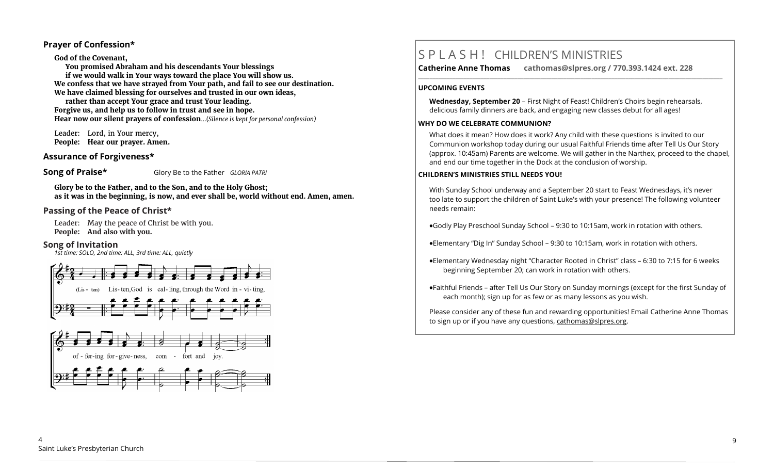## **Prayer of Confession\***

#### **God of the Covenant,**

**You promised Abraham and his descendants Your blessings if we would walk in Your ways toward the place You will show us. We confess that we have strayed from Your path, and fail to see our destination. We have claimed blessing for ourselves and trusted in our own ideas,**

**rather than accept Your grace and trust Your leading. Forgive us, and help us to follow in trust and see in hope. Hear now our silent prayers of confession**...(*Silence is kept for personal confession)* 

Leader: Lord, in Your mercy, **People: Hear our prayer. Amen.**

### **Assurance of Forgiveness\***

**Song of Praise\*** Glory Be to the Father *GLORIA PATRI* 

**Glory be to the Father, and to the Son, and to the Holy Ghost; as it was in the beginning, is now, and ever shall be, world without end. Amen, amen.**

## **Passing of the Peace of Christ\***

Leader: May the peace of Christ be with you. **People: And also with you.**

#### **Song of Invitation**

*1st time: SOLO, 2nd time: ALL, 3rd time: ALL, quietly*





# S P L A S H ! CHILDREN'S MINISTRIES

**Catherine Anne Thomas cathomas@slpres.org / 770.393.1424 ext. 228 \_\_\_\_\_\_\_\_\_\_\_\_\_\_\_\_\_\_\_\_\_\_\_\_\_\_\_\_\_\_\_\_\_\_\_\_\_\_\_\_\_\_\_\_\_\_\_\_\_\_\_\_\_\_\_\_\_\_\_\_\_\_\_\_\_\_\_\_\_\_\_\_\_\_\_\_\_\_\_\_\_\_\_\_\_\_\_\_\_\_\_\_\_\_\_\_\_\_\_\_\_\_\_\_\_\_\_** 

#### **UPCOMING EVENTS**

**Wednesday, September 20** – First Night of Feast! Children's Choirs begin rehearsals, delicious family dinners are back, and engaging new classes debut for all ages!

#### **WHY DO WE CELEBRATE COMMUNION?**

What does it mean? How does it work? Any child with these questions is invited to our Communion workshop today during our usual Faithful Friends time after Tell Us Our Story (approx. 10:45am) Parents are welcome. We will gather in the Narthex, proceed to the chapel, and end our time together in the Dock at the conclusion of worship.

#### **CHILDREN'S MINISTRIES STILL NEEDS YOU!**

With Sunday School underway and a September 20 start to Feast Wednesdays, it's never too late to support the children of Saint Luke's with your presence! The following volunteer needs remain:

Godly Play Preschool Sunday School – 9:30 to 10:15am, work in rotation with others.

Elementary "Dig In" Sunday School – 9:30 to 10:15am, work in rotation with others.

- Elementary Wednesday night "Character Rooted in Christ" class 6:30 to 7:15 for 6 weeks beginning September 20; can work in rotation with others.
- Faithful Friends after Tell Us Our Story on Sunday mornings (except for the first Sunday of each month); sign up for as few or as many lessons as you wish.

Please consider any of these fun and rewarding opportunities! Email Catherine Anne Thomas to sign up or if you have any questions, cathomas@slpres.org.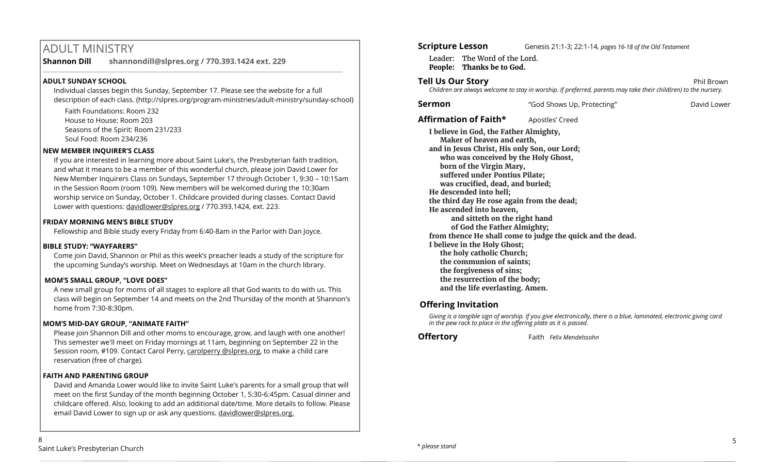# ADULT MINISTRY

**Shannon Dill shannondill@slpres.org / 770.393.1424 ext. 229** 

## **ADULT SUNDAY SCHOOL**

Individual classes begin this Sunday, September 17. Please see the website for a full description of each class. (http://slpres.org/program-ministries/adult-ministry/sunday-school)

 $\_$  ,  $\_$  ,  $\_$  ,  $\_$  ,  $\_$  ,  $\_$  ,  $\_$  ,  $\_$  ,  $\_$  ,  $\_$  ,  $\_$  ,  $\_$  ,  $\_$  ,  $\_$  ,  $\_$  ,  $\_$  ,  $\_$  ,  $\_$  ,  $\_$ 

Faith Foundations: Room 232 House to House: Room 203 Seasons of the Spirit: Room 231/233 Soul Food: Room 234/236

### **NEW MEMBER INQUIRER'S CLASS**

If you are interested in learning more about Saint Luke's, the Presbyterian faith tradition, and what it means to be a member of this wonderful church, please join David Lower for New Member Inquirers Class on Sundays, September 17 through October 1, 9:30 – 10:15am in the Session Room (room 109). New members will be welcomed during the 10:30am worship service on Sunday, October 1. Childcare provided during classes. Contact David Lower with questions: [davidlower@slpres.org](mailto:davidlower@slpres.org) / 770.393.1424, ext. 223.

#### **FRIDAY MORNING MEN'S BIBLE STUDY**

Fellowship and Bible study every Friday from 6:40-8am in the Parlor with Dan Joyce.

### **BIBLE STUDY: "WAYFARERS"**

Come join David, Shannon or Phil as this week's preacher leads a study of the scripture for the upcoming Sunday's worship. Meet on Wednesdays at 10am in the church library.

### **MOM'S SMALL GROUP, "LOVE DOES"**

A new small group for moms of all stages to explore all that God wants to do with us. This class will begin on September 14 and meets on the 2nd Thursday of the month at Shannon's home from 7:30-8:30pm.

### **MOM'S MID-DAY GROUP, "ANIMATE FAITH"**

Please join Shannon Dill and other moms to encourage, grow, and laugh with one another! This semester we'll meet on Friday mornings at 11am, beginning on September 22 in the Session room, #109. Contact Carol Perry, carolperry @slpres.org, to make a child care reservation (free of charge).

### **FAITH AND PARENTING GROUP**

David and Amanda Lower would like to invite Saint Luke's parents for a small group that will meet on the first Sunday of the month beginning October 1, 5:30-6:45pm. Casual dinner and childcare offered. Also, looking to add an additional date/time. More details to follow. Please email David Lower to sign up or ask any questions. davidlower@slpres.org.

# **Scripture Lesson** Genesis 21:1-3; 22:1-14, *pages 16-18 of the Old Testament*

Leader: The Word of the Lord. **People: Thanks be to God.**

## **Tell Us Our Story Phil Brown**

*Children are always welcome to stay in worship. If preferred, parents may take their child(ren) to the nursery.*

**Sermon** The "God Shows Up, Protecting" The David Lower

Affirmation of Faith\* **Apostles'** Creed

**I believe in God, the Father Almighty, Maker of heaven and earth, and in Jesus Christ, His only Son, our Lord; who was conceived by the Holy Ghost, born of the Virgin Mary, suffered under Pontius Pilate; was crucified, dead, and buried; He descended into hell; the third day He rose again from the dead; He ascended into heaven, and sitteth on the right hand of God the Father Almighty; from thence He shall come to judge the quick and the dead. I believe in the Holy Ghost; the holy catholic Church; the communion of saints; the forgiveness of sins; the resurrection of the body; and the life everlasting. Amen.**

# **Offering Invitation**

*Giving is a tangible sign of worship. If you give electronically, there is a blue, laminated, electronic giving card in the pew rack to place in the offering plate as it is passed.*

**Offertory** Faith *Felix Mendelssohn*